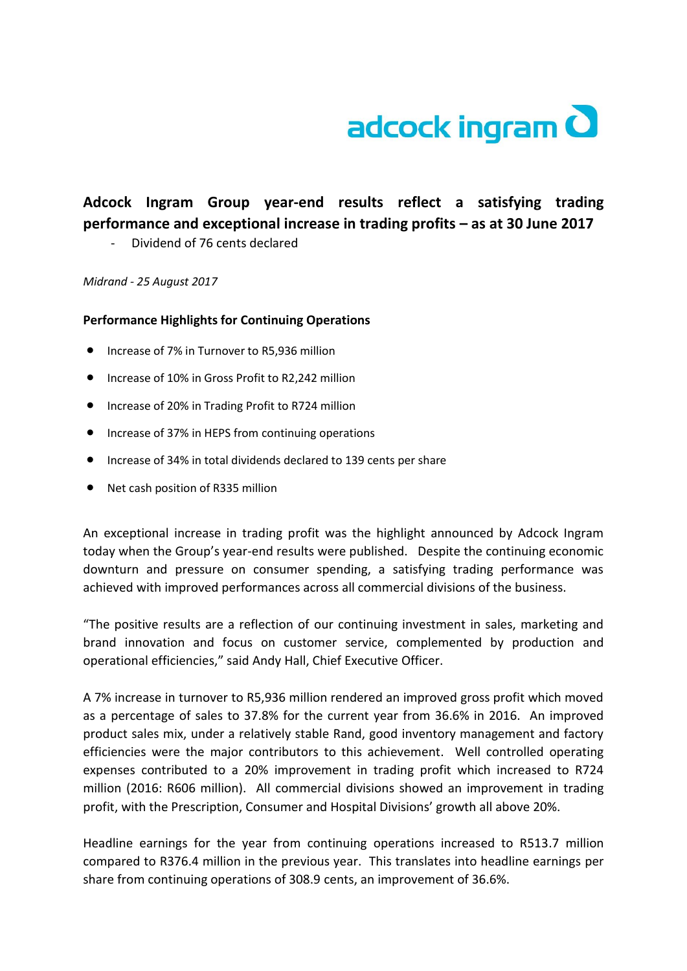

## **Adcock Ingram Group year-end results reflect a satisfying trading performance and exceptional increase in trading profits – as at 30 June 2017**

- Dividend of 76 cents declared

*Midrand - 25 August 2017*

## **Performance Highlights for Continuing Operations**

- Increase of 7% in Turnover to R5,936 million
- Increase of 10% in Gross Profit to R2.242 million
- **•** Increase of 20% in Trading Profit to R724 million
- **•** Increase of 37% in HEPS from continuing operations
- Increase of 34% in total dividends declared to 139 cents per share
- Net cash position of R335 million

An exceptional increase in trading profit was the highlight announced by Adcock Ingram today when the Group's year-end results were published. Despite the continuing economic downturn and pressure on consumer spending, a satisfying trading performance was achieved with improved performances across all commercial divisions of the business.

"The positive results are a reflection of our continuing investment in sales, marketing and brand innovation and focus on customer service, complemented by production and operational efficiencies," said Andy Hall, Chief Executive Officer.

A 7% increase in turnover to R5,936 million rendered an improved gross profit which moved as a percentage of sales to 37.8% for the current year from 36.6% in 2016. An improved product sales mix, under a relatively stable Rand, good inventory management and factory efficiencies were the major contributors to this achievement. Well controlled operating expenses contributed to a 20% improvement in trading profit which increased to R724 million (2016: R606 million). All commercial divisions showed an improvement in trading profit, with the Prescription, Consumer and Hospital Divisions' growth all above 20%.

Headline earnings for the year from continuing operations increased to R513.7 million compared to R376.4 million in the previous year. This translates into headline earnings per share from continuing operations of 308.9 cents, an improvement of 36.6%.